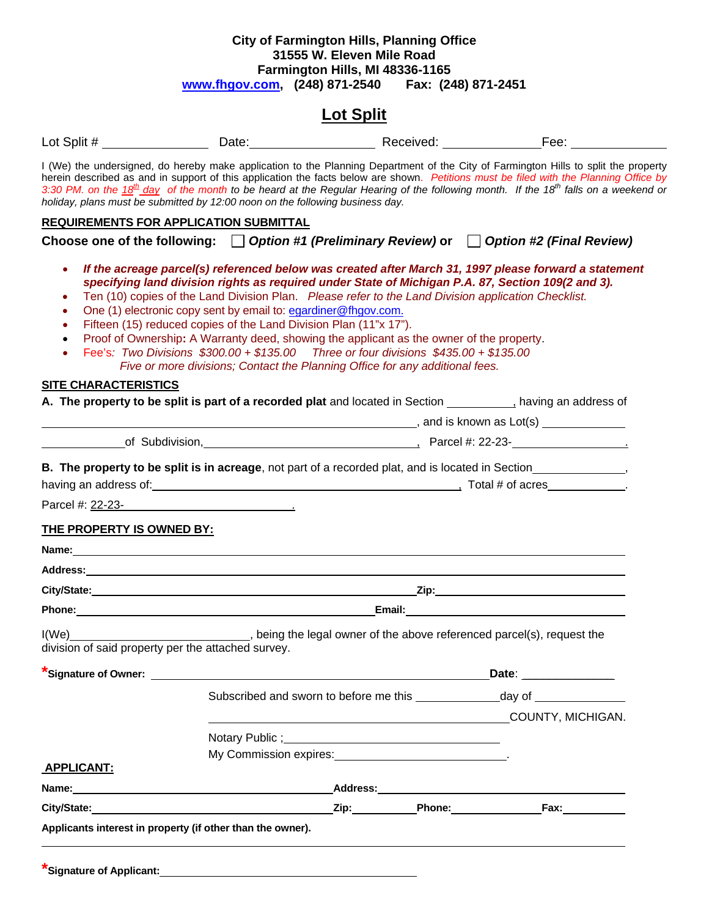## **City of Farmington Hills, Planning Office 31555 W. Eleven Mile Road Farmington Hills, MI 48336-1165 [www.fhgov.com,](http://www.fhgov.com/) (248) 871-2540 Fax: (248) 871-2451**

# **Lot Split**

|                                  | holiday, plans must be submitted by 12:00 noon on the following business day.                                                                                                                                                                                                                                                                                                                                                                                                                                                                                                                                        |  | I (We) the undersigned, do hereby make application to the Planning Department of the City of Farmington Hills to split the property<br>herein described as and in support of this application the facts below are shown. Petitions must be filed with the Planning Office by<br>3:30 PM. on the 18 <sup>th</sup> day of the month to be heard at the Regular Hearing of the following month. If the 18 <sup>th</sup> falls on a weekend or |
|----------------------------------|----------------------------------------------------------------------------------------------------------------------------------------------------------------------------------------------------------------------------------------------------------------------------------------------------------------------------------------------------------------------------------------------------------------------------------------------------------------------------------------------------------------------------------------------------------------------------------------------------------------------|--|--------------------------------------------------------------------------------------------------------------------------------------------------------------------------------------------------------------------------------------------------------------------------------------------------------------------------------------------------------------------------------------------------------------------------------------------|
|                                  | <b>REQUIREMENTS FOR APPLICATION SUBMITTAL</b>                                                                                                                                                                                                                                                                                                                                                                                                                                                                                                                                                                        |  |                                                                                                                                                                                                                                                                                                                                                                                                                                            |
|                                  |                                                                                                                                                                                                                                                                                                                                                                                                                                                                                                                                                                                                                      |  | Choose one of the following: $\Box$ Option #1 (Preliminary Review) or $\Box$ Option #2 (Final Review)                                                                                                                                                                                                                                                                                                                                      |
| ٠<br><b>SITE CHARACTERISTICS</b> | specifying land division rights as required under State of Michigan P.A. 87, Section 109(2 and 3).<br>Ten (10) copies of the Land Division Plan. Please refer to the Land Division application Checklist.<br>One (1) electronic copy sent by email to: egardiner@fhgov.com.<br>Fifteen (15) reduced copies of the Land Division Plan (11"x 17").<br>Proof of Ownership: A Warranty deed, showing the applicant as the owner of the property.<br>Fee's: Two Divisions \$300.00 + \$135.00 Three or four divisions \$435.00 + \$135.00<br>Five or more divisions; Contact the Planning Office for any additional fees. |  | If the acreage parcel(s) referenced below was created after March 31, 1997 please forward a statement                                                                                                                                                                                                                                                                                                                                      |
|                                  | A. The property to be split is part of a recorded plat and located in Section ____________, having an address of                                                                                                                                                                                                                                                                                                                                                                                                                                                                                                     |  |                                                                                                                                                                                                                                                                                                                                                                                                                                            |
|                                  |                                                                                                                                                                                                                                                                                                                                                                                                                                                                                                                                                                                                                      |  |                                                                                                                                                                                                                                                                                                                                                                                                                                            |
|                                  | of Subdivision, 2008. [2013] Parcel #: 22-23-                                                                                                                                                                                                                                                                                                                                                                                                                                                                                                                                                                        |  |                                                                                                                                                                                                                                                                                                                                                                                                                                            |
|                                  | B. The property to be split is in acreage, not part of a recorded plat, and is located in Section                                                                                                                                                                                                                                                                                                                                                                                                                                                                                                                    |  |                                                                                                                                                                                                                                                                                                                                                                                                                                            |
|                                  |                                                                                                                                                                                                                                                                                                                                                                                                                                                                                                                                                                                                                      |  |                                                                                                                                                                                                                                                                                                                                                                                                                                            |
|                                  | Parcel #: 22-23-                                                                                                                                                                                                                                                                                                                                                                                                                                                                                                                                                                                                     |  |                                                                                                                                                                                                                                                                                                                                                                                                                                            |
|                                  |                                                                                                                                                                                                                                                                                                                                                                                                                                                                                                                                                                                                                      |  |                                                                                                                                                                                                                                                                                                                                                                                                                                            |
| THE PROPERTY IS OWNED BY:        |                                                                                                                                                                                                                                                                                                                                                                                                                                                                                                                                                                                                                      |  |                                                                                                                                                                                                                                                                                                                                                                                                                                            |
|                                  | Name: Name:                                                                                                                                                                                                                                                                                                                                                                                                                                                                                                                                                                                                          |  |                                                                                                                                                                                                                                                                                                                                                                                                                                            |
|                                  |                                                                                                                                                                                                                                                                                                                                                                                                                                                                                                                                                                                                                      |  |                                                                                                                                                                                                                                                                                                                                                                                                                                            |
|                                  |                                                                                                                                                                                                                                                                                                                                                                                                                                                                                                                                                                                                                      |  |                                                                                                                                                                                                                                                                                                                                                                                                                                            |
|                                  |                                                                                                                                                                                                                                                                                                                                                                                                                                                                                                                                                                                                                      |  |                                                                                                                                                                                                                                                                                                                                                                                                                                            |
| I(We)                            | being the legal owner of the above referenced parcel(s), request the<br>division of said property per the attached survey.                                                                                                                                                                                                                                                                                                                                                                                                                                                                                           |  |                                                                                                                                                                                                                                                                                                                                                                                                                                            |
|                                  |                                                                                                                                                                                                                                                                                                                                                                                                                                                                                                                                                                                                                      |  | Date: ________________                                                                                                                                                                                                                                                                                                                                                                                                                     |
|                                  |                                                                                                                                                                                                                                                                                                                                                                                                                                                                                                                                                                                                                      |  |                                                                                                                                                                                                                                                                                                                                                                                                                                            |
|                                  |                                                                                                                                                                                                                                                                                                                                                                                                                                                                                                                                                                                                                      |  | COUNTY, MICHIGAN.                                                                                                                                                                                                                                                                                                                                                                                                                          |
|                                  | Notary Public; Notary Public ; Notary Public ; Notary Public ; Notary Public ; Notary Public ; Notary Public ; Notary Public ; Notary Public ; Notary Public ; Notary Public ; Notary Public ; Notary Public ; Notary Public ;                                                                                                                                                                                                                                                                                                                                                                                       |  |                                                                                                                                                                                                                                                                                                                                                                                                                                            |
|                                  |                                                                                                                                                                                                                                                                                                                                                                                                                                                                                                                                                                                                                      |  |                                                                                                                                                                                                                                                                                                                                                                                                                                            |
| <b>APPLICANT:</b>                |                                                                                                                                                                                                                                                                                                                                                                                                                                                                                                                                                                                                                      |  |                                                                                                                                                                                                                                                                                                                                                                                                                                            |
|                                  |                                                                                                                                                                                                                                                                                                                                                                                                                                                                                                                                                                                                                      |  |                                                                                                                                                                                                                                                                                                                                                                                                                                            |
|                                  |                                                                                                                                                                                                                                                                                                                                                                                                                                                                                                                                                                                                                      |  |                                                                                                                                                                                                                                                                                                                                                                                                                                            |
|                                  | Applicants interest in property (if other than the owner).                                                                                                                                                                                                                                                                                                                                                                                                                                                                                                                                                           |  |                                                                                                                                                                                                                                                                                                                                                                                                                                            |
| Signature of Applicant:          |                                                                                                                                                                                                                                                                                                                                                                                                                                                                                                                                                                                                                      |  |                                                                                                                                                                                                                                                                                                                                                                                                                                            |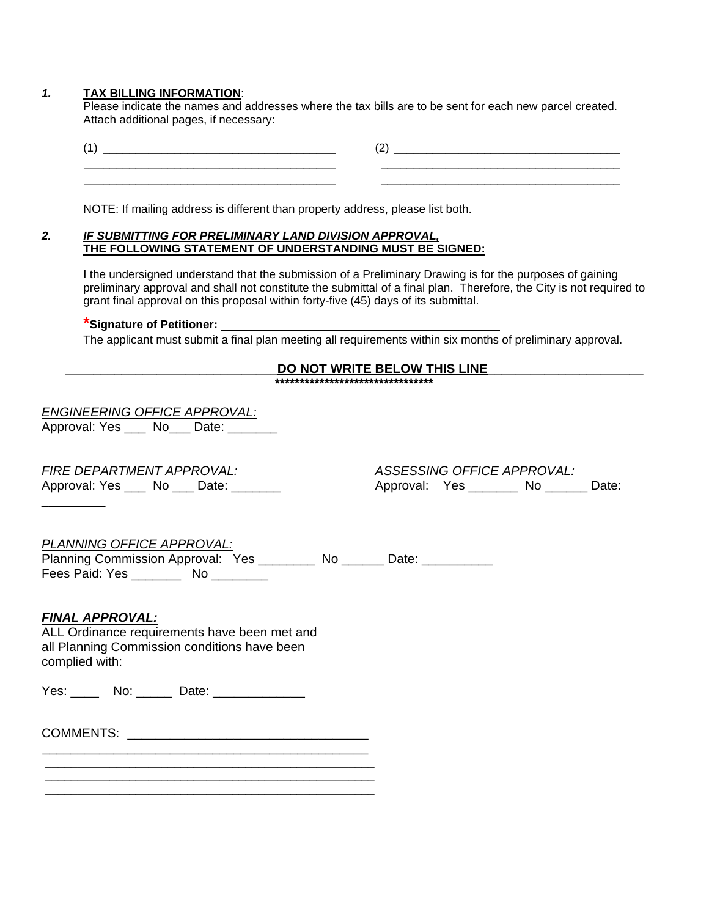### *1.* **TAX BILLING INFORMATION**:

Please indicate the names and addresses where the tax bills are to be sent for each new parcel created. Attach additional pages, if necessary:

| $\overline{\phantom{a}}$ |  |
|--------------------------|--|
|                          |  |

NOTE: If mailing address is different than property address, please list both.

### *2. IF SUBMITTING FOR PRELIMINARY LAND DIVISION APPROVAL,* **THE FOLLOWING STATEMENT OF UNDERSTANDING MUST BE SIGNED:**

I the undersigned understand that the submission of a Preliminary Drawing is for the purposes of gaining preliminary approval and shall not constitute the submittal of a final plan. Therefore, the City is not required to grant final approval on this proposal within forty-five (45) days of its submittal.

## **\*Signature of Petitioner:**

The applicant must submit a final plan meeting all requirements within six months of preliminary approval.

#### **\_\_\_\_\_\_\_\_\_\_\_\_\_\_\_\_\_\_\_\_\_\_\_\_\_\_\_\_\_\_DO NOT WRITE BELOW THIS LINE\_\_\_\_\_\_\_\_\_\_\_\_\_\_\_\_\_\_\_\_\_\_ \*\*\*\*\*\*\*\*\*\*\*\*\*\*\*\*\*\*\*\*\*\*\*\*\*\*\*\*\*\*\*\***

| <b>ENGINEERING OFFICE APPROVAL:</b> |
|-------------------------------------|
|                                     |

Approval: Yes \_\_\_ No \_\_ Date:

| <b>FIRE DEPARTMENT APPROVAL:</b> |    |  | ASSESSING OFFICE APPROVAL: |       |
|----------------------------------|----|--|----------------------------|-------|
| Approval: Yes                    | Νo |  | Approval:<br>Yes<br>Nc     | Date: |

*PLANNING OFFICE APPROVAL:* 

Planning Commission Approval: Yes \_\_\_\_\_\_\_\_\_ No \_\_\_\_\_\_ Date: \_\_\_\_\_\_\_\_\_\_ Fees Paid: Yes \_\_\_\_\_\_\_\_ No \_\_\_\_\_\_\_\_

## *FINAL APPROVAL:*

\_\_\_\_\_\_\_\_\_

ALL Ordinance requirements have been met and all Planning Commission conditions have been complied with:

Yes: \_\_\_\_\_ No: \_\_\_\_\_ Date: \_\_\_\_\_\_\_\_\_\_\_\_\_

COMMENTS: \_\_\_\_\_\_\_\_\_\_\_\_\_\_\_\_\_\_\_\_\_\_\_\_\_\_\_\_\_\_\_\_\_\_ \_\_\_\_\_\_\_\_\_\_\_\_\_\_\_\_\_\_\_\_\_\_\_\_\_\_\_\_\_\_\_\_\_\_\_\_\_\_\_\_\_\_\_\_\_\_

\_\_\_\_\_\_\_\_\_\_\_\_\_\_\_\_\_\_\_\_\_\_\_\_\_\_\_\_\_\_\_\_\_\_\_\_\_\_\_\_\_\_\_\_\_\_\_\_\_\_\_ \_\_\_\_\_\_\_\_\_\_\_\_\_\_\_\_\_\_\_\_\_\_\_\_\_\_\_\_\_\_\_\_\_\_\_\_\_\_\_\_\_\_\_\_\_\_\_\_\_\_\_ \_\_\_\_\_\_\_\_\_\_\_\_\_\_\_\_\_\_\_\_\_\_\_\_\_\_\_\_\_\_\_\_\_\_\_\_\_\_\_\_\_\_\_\_\_\_\_\_\_\_\_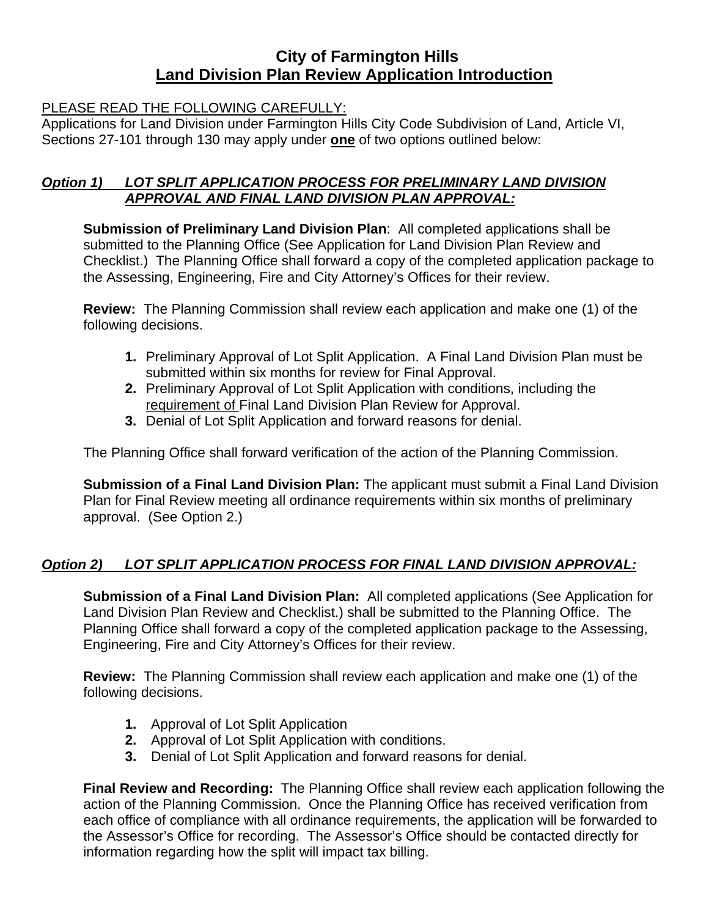# **City of Farmington Hills Land Division Plan Review Application Introduction**

## PLEASE READ THE FOLLOWING CAREFULLY:

Applications for Land Division under Farmington Hills City Code Subdivision of Land, Article VI, Sections 27-101 through 130 may apply under **one** of two options outlined below:

## *Option 1) LOT SPLIT APPLICATION PROCESS FOR PRELIMINARY LAND DIVISION APPROVAL AND FINAL LAND DIVISION PLAN APPROVAL:*

**Submission of Preliminary Land Division Plan**: All completed applications shall be submitted to the Planning Office (See Application for Land Division Plan Review and Checklist.) The Planning Office shall forward a copy of the completed application package to the Assessing, Engineering, Fire and City Attorney's Offices for their review.

**Review:** The Planning Commission shall review each application and make one (1) of the following decisions.

- **1.** Preliminary Approval of Lot Split Application. A Final Land Division Plan must be submitted within six months for review for Final Approval.
- **2.** Preliminary Approval of Lot Split Application with conditions, including the requirement of Final Land Division Plan Review for Approval.
- **3.** Denial of Lot Split Application and forward reasons for denial.

The Planning Office shall forward verification of the action of the Planning Commission.

**Submission of a Final Land Division Plan:** The applicant must submit a Final Land Division Plan for Final Review meeting all ordinance requirements within six months of preliminary approval. (See Option 2.)

# *Option 2) LOT SPLIT APPLICATION PROCESS FOR FINAL LAND DIVISION APPROVAL:*

**Submission of a Final Land Division Plan:** All completed applications (See Application for Land Division Plan Review and Checklist.) shall be submitted to the Planning Office. The Planning Office shall forward a copy of the completed application package to the Assessing, Engineering, Fire and City Attorney's Offices for their review.

**Review:** The Planning Commission shall review each application and make one (1) of the following decisions.

- **1.** Approval of Lot Split Application
- **2.** Approval of Lot Split Application with conditions.
- **3.** Denial of Lot Split Application and forward reasons for denial.

**Final Review and Recording:** The Planning Office shall review each application following the action of the Planning Commission. Once the Planning Office has received verification from each office of compliance with all ordinance requirements, the application will be forwarded to the Assessor's Office for recording. The Assessor's Office should be contacted directly for information regarding how the split will impact tax billing.